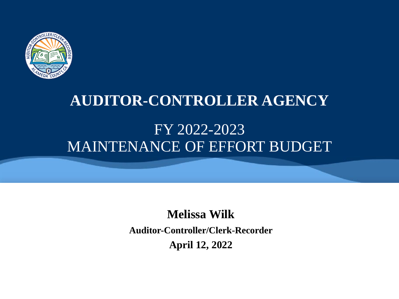

# **AUDITOR-CONTROLLER AGENCY** FY 2022-2023

MAINTENANCE OF EFFORT BUDGET

**Melissa Wilk Auditor-Controller/Clerk-Recorder April 12, 2022**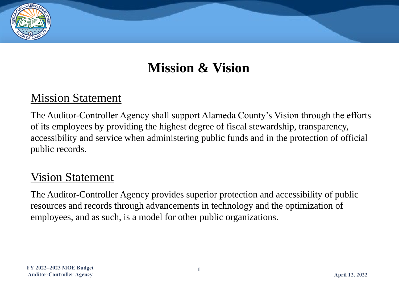#### **Mission & Vision**

#### Mission Statement

The Auditor-Controller Agency shall support Alameda County's Vision through the efforts of its employees by providing the highest degree of fiscal stewardship, transparency, accessibility and service when administering public funds and in the protection of official public records.

#### **Vision Statement**

The Auditor-Controller Agency provides superior protection and accessibility of public resources and records through advancements in technology and the optimization of employees, and as such, is a model for other public organizations.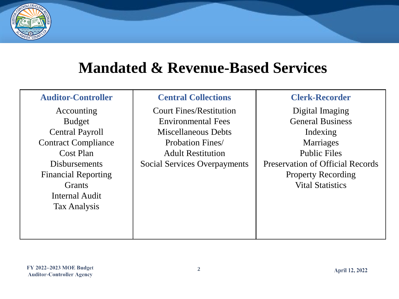

#### **Mandated & Revenue-Based Services**

| <b>Auditor-Controller</b>  | <b>Central Collections</b>     | <b>Clerk-Recorder</b>                   |  |
|----------------------------|--------------------------------|-----------------------------------------|--|
| Accounting                 | <b>Court Fines/Restitution</b> | Digital Imaging                         |  |
| <b>Budget</b>              | <b>Environmental Fees</b>      | <b>General Business</b>                 |  |
| <b>Central Payroll</b>     | Miscellaneous Debts            | Indexing                                |  |
| <b>Contract Compliance</b> | <b>Probation Fines</b>         | Marriages                               |  |
| Cost Plan                  | <b>Adult Restitution</b>       | <b>Public Files</b>                     |  |
| <b>Disbursements</b>       | Social Services Overpayments   | <b>Preservation of Official Records</b> |  |
| <b>Financial Reporting</b> |                                | <b>Property Recording</b>               |  |
| <b>Grants</b>              |                                | <b>Vital Statistics</b>                 |  |
| Internal Audit             |                                |                                         |  |
| Tax Analysis               |                                |                                         |  |
|                            |                                |                                         |  |
|                            |                                |                                         |  |
|                            |                                |                                         |  |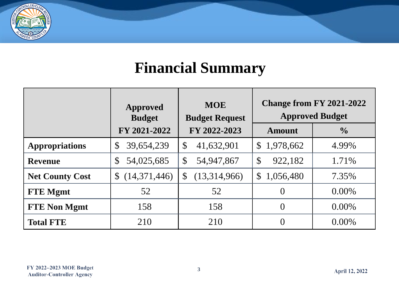

# **Financial Summary**

|                        | <b>Approved</b><br><b>Budget</b> | <b>MOE</b><br><b>Budget Request</b>     | <b>Change from FY 2021-2022</b><br><b>Approved Budget</b> |               |
|------------------------|----------------------------------|-----------------------------------------|-----------------------------------------------------------|---------------|
|                        | FY 2021-2022                     | FY 2022-2023                            | <b>Amount</b>                                             | $\frac{0}{0}$ |
| <b>Appropriations</b>  | 39,654,239<br>$\mathcal{S}$      | $\boldsymbol{\mathsf{S}}$<br>41,632,901 | \$1,978,662                                               | 4.99%         |
| <b>Revenue</b>         | 54,025,685<br>$\mathcal{S}$      | $\boldsymbol{\mathsf{S}}$<br>54,947,867 | $\mathcal{S}$<br>922,182                                  | 1.71%         |
| <b>Net County Cost</b> | (14,371,446)<br>$\mathbb{S}$     | (13,314,966)<br>$\mathbb{S}$            | \$1,056,480                                               | 7.35%         |
| <b>FTE</b> Mgmt        | 52                               | 52                                      | $\left($                                                  | $0.00\%$      |
| <b>FTE Non Mgmt</b>    | 158                              | 158                                     | $\theta$                                                  | $0.00\%$      |
| <b>Total FTE</b>       | 210                              | 210                                     | $\Omega$                                                  | $0.00\%$      |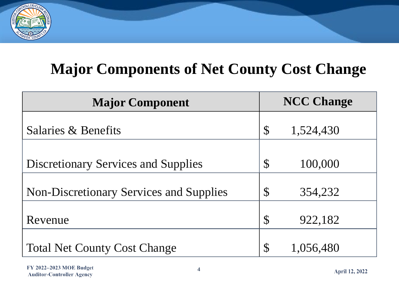

# **Major Components of Net County Cost Change**

| <b>Major Component</b>                         | <b>NCC Change</b>         |           |
|------------------------------------------------|---------------------------|-----------|
| Salaries & Benefits                            | $\mathcal{S}$             | 1,524,430 |
|                                                |                           |           |
| <b>Discretionary Services and Supplies</b>     |                           | 100,000   |
| <b>Non-Discretionary Services and Supplies</b> | $\boldsymbol{\mathsf{S}}$ | 354,232   |
| Revenue                                        | $\mathcal{S}$             | 922,182   |
| <b>Total Net County Cost Change</b>            | $\mathcal{S}$             | 1,056,480 |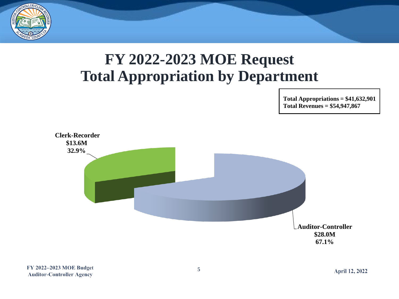

# **FY 2022-2023 MOE Request Total Appropriation by Department**

**Total Appropriations = \$41,632,901 Total Revenues = \$54,947,867**

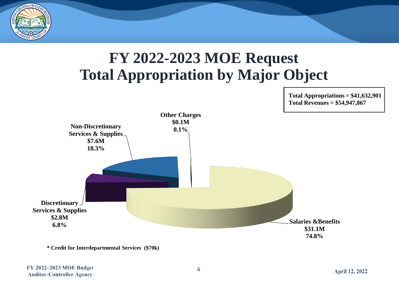

# **FY 2022-2023 MOE Request Total Appropriation by Major Object**



**\* Credit for Interdepartmental Services (\$70k)** 

**Total Appropriations = \$41,632,901 Total Revenues = \$54,947,867**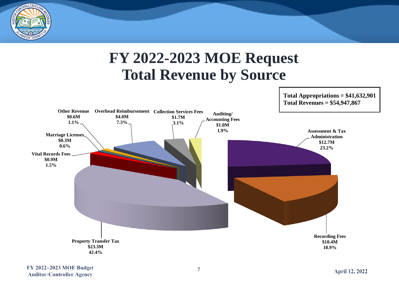

#### **FY 2022-2023 MOE Request Total Revenue by Source**



**Total Appropriations = \$41,632,901**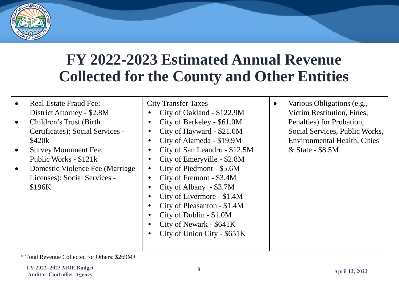

#### **FY 2022-2023 Estimated Annual Revenue Collected for the County and Other Entities**

| Real Estate Fraud Fee;<br>District Attorney - \$2.8M<br>Children's Trust (Birth)<br>$\bullet$<br>Certificates); Social Services -<br>\$420k<br><b>Survey Monument Fee;</b><br>Public Works - \$121k<br>Domestic Violence Fee (Marriage)<br>Licenses); Social Services -<br>\$196K | <b>City Transfer Taxes</b><br>City of Oakland - \$122.9M<br>City of Berkeley - \$61.0M<br>City of Hayward - \$21.0M<br>$\bullet$<br>City of Alameda - \$19.9M<br>City of San Leandro - \$12.5M<br>City of Emeryville - \$2.8M<br>٠<br>City of Piedmont - \$5.6M<br>$\bullet$<br>City of Fremont - \$3.4M<br>City of Albany - \$3.7M<br>City of Livermore - \$1.4M<br>City of Pleasanton - \$1.4M<br>City of Dublin - \$1.0M<br>City of Newark - \$641K<br>City of Union City - \$651K | Various Obligations (e.g.,<br>$\bullet$<br>Victim Restitution, Fines,<br>Penalties) for Probation,<br>Social Services, Public Works,<br><b>Environmental Health, Cities</b><br>& State - \$8.5M |
|-----------------------------------------------------------------------------------------------------------------------------------------------------------------------------------------------------------------------------------------------------------------------------------|---------------------------------------------------------------------------------------------------------------------------------------------------------------------------------------------------------------------------------------------------------------------------------------------------------------------------------------------------------------------------------------------------------------------------------------------------------------------------------------|-------------------------------------------------------------------------------------------------------------------------------------------------------------------------------------------------|
|-----------------------------------------------------------------------------------------------------------------------------------------------------------------------------------------------------------------------------------------------------------------------------------|---------------------------------------------------------------------------------------------------------------------------------------------------------------------------------------------------------------------------------------------------------------------------------------------------------------------------------------------------------------------------------------------------------------------------------------------------------------------------------------|-------------------------------------------------------------------------------------------------------------------------------------------------------------------------------------------------|

\* Total Revenue Collected for Others: \$269M+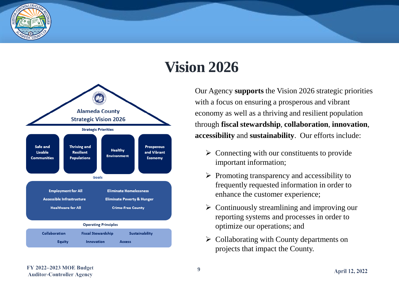

# **Vision 2026**



Our Agency **supports** the Vision 2026 strategic priorities with a focus on ensuring a prosperous and vibrant economy as well as a thriving and resilient population through **fiscal stewardship**, **collaboration**, **innovation**, **accessibility** and **sustainability**. Our efforts include:

- $\triangleright$  Connecting with our constituents to provide important information;
- $\triangleright$  Promoting transparency and accessibility to frequently requested information in order to enhance the customer experience;
- $\triangleright$  Continuously streamlining and improving our reporting systems and processes in order to optimize our operations; and
- ➢ Collaborating with County departments on projects that impact the County.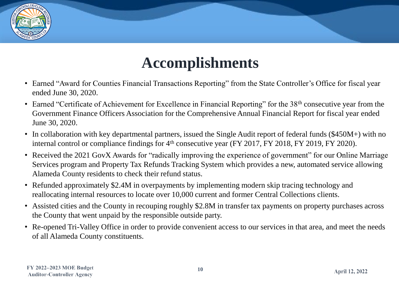

# **Accomplishments**

- Earned "Award for Counties Financial Transactions Reporting" from the State Controller's Office for fiscal year ended June 30, 2020.
- Earned "Certificate of Achievement for Excellence in Financial Reporting" for the 38<sup>th</sup> consecutive year from the Government Finance Officers Association for the Comprehensive Annual Financial Report for fiscal year ended June 30, 2020.
- In collaboration with key departmental partners, issued the Single Audit report of federal funds (\$450M+) with no internal control or compliance findings for  $4<sup>th</sup>$  consecutive year (FY 2017, FY 2018, FY 2019, FY 2020).
- Received the 2021 GovX Awards for "radically improving the experience of government" for our Online Marriage Services program and Property Tax Refunds Tracking System which provides a new, automated service allowing Alameda County residents to check their refund status.
- Refunded approximately \$2.4M in overpayments by implementing modern skip tracing technology and reallocating internal resources to locate over 10,000 current and former Central Collections clients.
- Assisted cities and the County in recouping roughly \$2.8M in transfer tax payments on property purchases across the County that went unpaid by the responsible outside party.
- Re-opened Tri-Valley Office in order to provide convenient access to our services in that area, and meet the needs of all Alameda County constituents.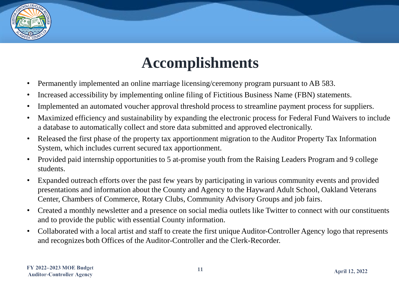

# **Accomplishments**

- Permanently implemented an online marriage licensing/ceremony program pursuant to AB 583.
- Increased accessibility by implementing online filing of Fictitious Business Name (FBN) statements.
- Implemented an automated voucher approval threshold process to streamline payment process for suppliers.
- Maximized efficiency and sustainability by expanding the electronic process for Federal Fund Waivers to include a database to automatically collect and store data submitted and approved electronically.
- Released the first phase of the property tax apportionment migration to the Auditor Property Tax Information System, which includes current secured tax apportionment.
- Provided paid internship opportunities to 5 at-promise youth from the Raising Leaders Program and 9 college students.
- Expanded outreach efforts over the past few years by participating in various community events and provided presentations and information about the County and Agency to the Hayward Adult School, Oakland Veterans Center, Chambers of Commerce, Rotary Clubs, Community Advisory Groups and job fairs.
- Created a monthly newsletter and a presence on social media outlets like Twitter to connect with our constituents and to provide the public with essential County information.
- Collaborated with a local artist and staff to create the first unique Auditor-Controller Agency logo that represents and recognizes both Offices of the Auditor-Controller and the Clerk-Recorder.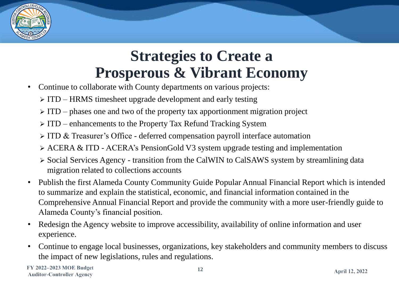

# **Strategies to Create a Prosperous & Vibrant Economy**

- Continue to collaborate with County departments on various projects:
	- ➢ ITD HRMS timesheet upgrade development and early testing
	- $\triangleright$  ITD phases one and two of the property tax apportionment migration project
	- ➢ ITD enhancements to the Property Tax Refund Tracking System
	- ➢ ITD & Treasurer's Office deferred compensation payroll interface automation
	- ➢ ACERA & ITD ACERA's PensionGold V3 system upgrade testing and implementation
	- ➢ Social Services Agency transition from the CalWIN to CalSAWS system by streamlining data migration related to collections accounts
- Publish the first Alameda County Community Guide Popular Annual Financial Report which is intended to summarize and explain the statistical, economic, and financial information contained in the Comprehensive Annual Financial Report and provide the community with a more user-friendly guide to Alameda County's financial position.
- Redesign the Agency website to improve accessibility, availability of online information and user experience.
- Continue to engage local businesses, organizations, key stakeholders and community members to discuss the impact of new legislations, rules and regulations.

FY 2022-2023 MOE Budget **Auditor-Controller Agency**